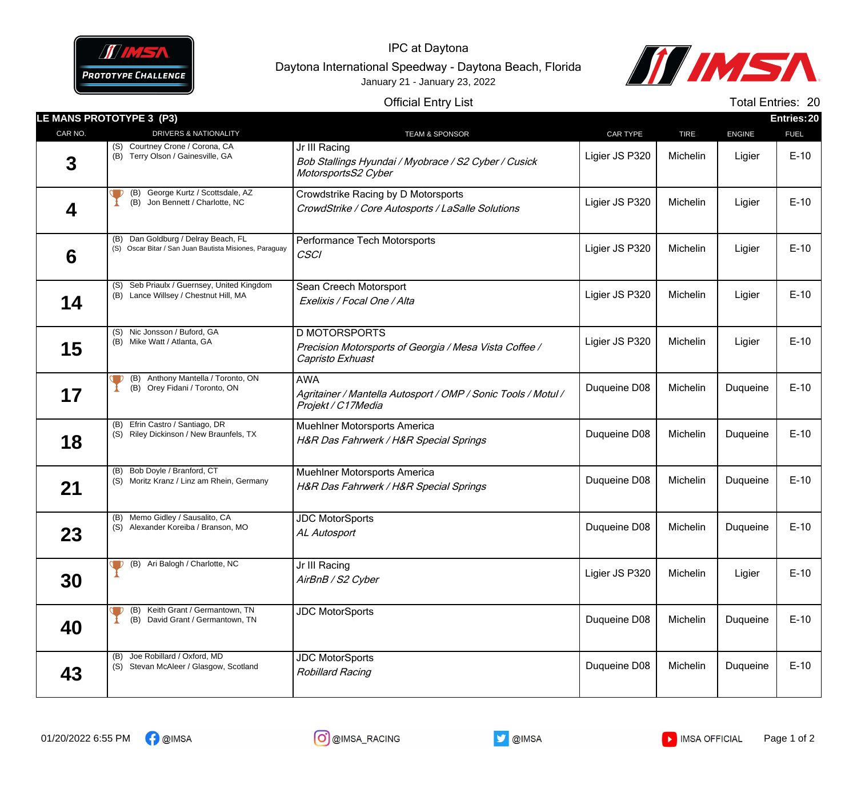

IPC at Daytona Daytona International Speedway - Daytona Beach, Florida January 21 - January 23, 2022



## Official Entry List

Total Entries: 20

|         | LE MANS PROTOTYPE 3 (P3)                                                                      |                                                                                                    |                 |             | Entries: 20   |             |  |
|---------|-----------------------------------------------------------------------------------------------|----------------------------------------------------------------------------------------------------|-----------------|-------------|---------------|-------------|--|
| CAR NO. | <b>DRIVERS &amp; NATIONALITY</b>                                                              | <b>TEAM &amp; SPONSOR</b>                                                                          | <b>CAR TYPE</b> | <b>TIRE</b> | <b>ENGINE</b> | <b>FUEL</b> |  |
| 3       | (S) Courtney Crone / Corona, CA<br>(B) Terry Olson / Gainesville, GA                          | Jr III Racing<br>Bob Stallings Hyundai / Myobrace / S2 Cyber / Cusick<br>MotorsportsS2 Cyber       | Ligier JS P320  | Michelin    | Ligier        | $E-10$      |  |
| 4       | George Kurtz / Scottsdale, AZ<br>(B)<br>(B) Jon Bennett / Charlotte, NC                       | Crowdstrike Racing by D Motorsports<br>CrowdStrike / Core Autosports / LaSalle Solutions           | Ligier JS P320  | Michelin    | Ligier        | $E-10$      |  |
| 6       | (B) Dan Goldburg / Delray Beach, FL<br>(S) Oscar Bitar / San Juan Bautista Misiones, Paraguay | Performance Tech Motorsports<br><b>CSCI</b>                                                        | Ligier JS P320  | Michelin    | Ligier        | $E-10$      |  |
| 14      | (S) Seb Priaulx / Guernsey, United Kingdom<br>(B) Lance Willsey / Chestnut Hill, MA           | Sean Creech Motorsport<br>Exelixis / Focal One / Alta                                              | Ligier JS P320  | Michelin    | Ligier        | $E-10$      |  |
| 15      | (S) Nic Jonsson / Buford, GA<br>(B) Mike Watt / Atlanta, GA                                   | <b>D MOTORSPORTS</b><br>Precision Motorsports of Georgia / Mesa Vista Coffee /<br>Capristo Exhuast | Ligier JS P320  | Michelin    | Ligier        | $E-10$      |  |
| 17      | (B) Anthony Mantella / Toronto, ON<br>(B) Orey Fidani / Toronto, ON                           | <b>AWA</b><br>Agritainer / Mantella Autosport / OMP / Sonic Tools / Motul /<br>Projekt / C17Media  | Duqueine D08    | Michelin    | Duqueine      | $E-10$      |  |
| 18      | (B) Efrin Castro / Santiago, DR<br>(S) Riley Dickinson / New Braunfels, TX                    | Muehlner Motorsports America<br>H&R Das Fahrwerk / H&R Special Springs                             | Duqueine D08    | Michelin    | Duqueine      | $E-10$      |  |
| 21      | (B) Bob Doyle / Branford, CT<br>(S) Moritz Kranz / Linz am Rhein, Germany                     | Muehlner Motorsports America<br>H&R Das Fahrwerk / H&R Special Springs                             | Duqueine D08    | Michelin    | Duqueine      | $E-10$      |  |
| 23      | (B) Memo Gidley / Sausalito, CA<br>(S) Alexander Koreiba / Branson, MO                        | <b>JDC MotorSports</b><br>AL Autosport                                                             | Duqueine D08    | Michelin    | Duqueine      | $E-10$      |  |
| 30      | (B) Ari Balogh / Charlotte, NC                                                                | Jr III Racing<br>AirBnB / S2 Cyber                                                                 | Ligier JS P320  | Michelin    | Ligier        | $E-10$      |  |
| 40      | (B) Keith Grant / Germantown, TN<br>(B) David Grant / Germantown, TN                          | <b>JDC MotorSports</b>                                                                             | Duqueine D08    | Michelin    | Duqueine      | $E-10$      |  |
| 43      | Joe Robillard / Oxford, MD<br>(S) Stevan McAleer / Glasgow, Scotland                          | <b>JDC MotorSports</b><br><b>Robillard Racing</b>                                                  | Duqueine D08    | Michelin    | Duqueine      | $E-10$      |  |